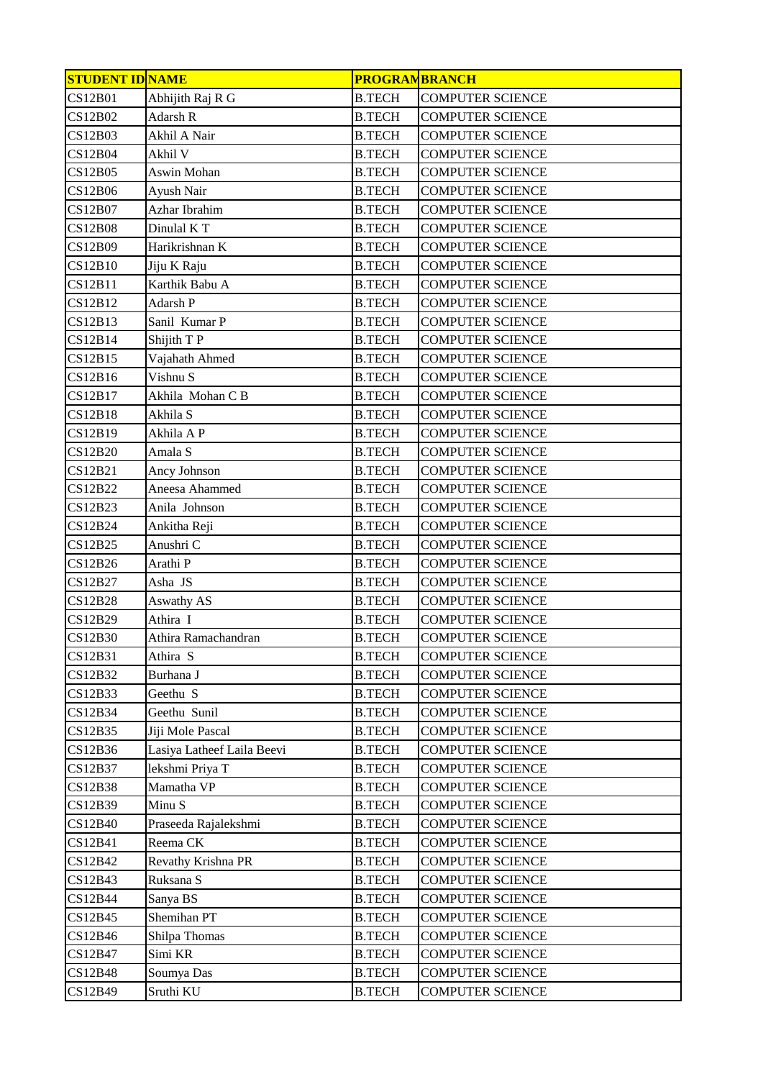| <b>STUDENT ID NAME</b> |                            | <b>PROGRAMBRANCH</b> |                         |
|------------------------|----------------------------|----------------------|-------------------------|
| <b>CS12B01</b>         | Abhijith Raj R G           | <b>B.TECH</b>        | <b>COMPUTER SCIENCE</b> |
| <b>CS12B02</b>         | Adarsh R                   | <b>B.TECH</b>        | <b>COMPUTER SCIENCE</b> |
| <b>CS12B03</b>         | Akhil A Nair               | <b>B.TECH</b>        | <b>COMPUTER SCIENCE</b> |
| CS12B04                | Akhil V                    | <b>B.TECH</b>        | <b>COMPUTER SCIENCE</b> |
| CS12B05                | Aswin Mohan                | <b>B.TECH</b>        | <b>COMPUTER SCIENCE</b> |
| CS12B06                | Ayush Nair                 | <b>B.TECH</b>        | <b>COMPUTER SCIENCE</b> |
| <b>CS12B07</b>         | Azhar Ibrahim              | <b>B.TECH</b>        | <b>COMPUTER SCIENCE</b> |
| <b>CS12B08</b>         | Dinulal KT                 | <b>B.TECH</b>        | <b>COMPUTER SCIENCE</b> |
| CS12B09                | Harikrishnan K             | <b>B.TECH</b>        | <b>COMPUTER SCIENCE</b> |
| <b>CS12B10</b>         | Jiju K Raju                | <b>B.TECH</b>        | <b>COMPUTER SCIENCE</b> |
| CS12B11                | Karthik Babu A             | <b>B.TECH</b>        | <b>COMPUTER SCIENCE</b> |
| CS12B12                | Adarsh P                   | <b>B.TECH</b>        | <b>COMPUTER SCIENCE</b> |
| CS12B13                | Sanil Kumar P              | <b>B.TECH</b>        | <b>COMPUTER SCIENCE</b> |
| CS12B14                | Shijith T P                | <b>B.TECH</b>        | <b>COMPUTER SCIENCE</b> |
| CS12B15                | Vajahath Ahmed             | <b>B.TECH</b>        | <b>COMPUTER SCIENCE</b> |
| CS12B16                | Vishnu S                   | <b>B.TECH</b>        | <b>COMPUTER SCIENCE</b> |
| CS12B17                | Akhila Mohan C B           | <b>B.TECH</b>        | <b>COMPUTER SCIENCE</b> |
| <b>CS12B18</b>         | Akhila S                   | <b>B.TECH</b>        | <b>COMPUTER SCIENCE</b> |
| CS12B19                | Akhila A P                 | <b>B.TECH</b>        | <b>COMPUTER SCIENCE</b> |
| <b>CS12B20</b>         | Amala S                    | <b>B.TECH</b>        | <b>COMPUTER SCIENCE</b> |
| CS12B21                | Ancy Johnson               | <b>B.TECH</b>        | <b>COMPUTER SCIENCE</b> |
| <b>CS12B22</b>         | Aneesa Ahammed             | <b>B.TECH</b>        | <b>COMPUTER SCIENCE</b> |
| CS12B23                | Anila Johnson              | <b>B.TECH</b>        | <b>COMPUTER SCIENCE</b> |
| CS12B24                | Ankitha Reji               | <b>B.TECH</b>        | <b>COMPUTER SCIENCE</b> |
| <b>CS12B25</b>         | Anushri C                  | <b>B.TECH</b>        | <b>COMPUTER SCIENCE</b> |
| CS12B26                | Arathi <sub>P</sub>        | <b>B.TECH</b>        | <b>COMPUTER SCIENCE</b> |
| CS12B27                | Asha JS                    | <b>B.TECH</b>        | <b>COMPUTER SCIENCE</b> |
| <b>CS12B28</b>         | <b>Aswathy AS</b>          | <b>B.TECH</b>        | <b>COMPUTER SCIENCE</b> |
| CS12B29                | Athira I                   | <b>B.TECH</b>        | <b>COMPUTER SCIENCE</b> |
| <b>CS12B30</b>         | Athira Ramachandran        | <b>B.TECH</b>        | <b>COMPUTER SCIENCE</b> |
| CS12B31                | Athira S                   | <b>B.TECH</b>        | <b>COMPUTER SCIENCE</b> |
| CS12B32                | Burhana J                  | <b>B.TECH</b>        | <b>COMPUTER SCIENCE</b> |
| CS12B33                | Geethu S                   | <b>B.TECH</b>        | <b>COMPUTER SCIENCE</b> |
| CS12B34                | Geethu Sunil               | <b>B.TECH</b>        | <b>COMPUTER SCIENCE</b> |
| CS12B35                | Jiji Mole Pascal           | <b>B.TECH</b>        | <b>COMPUTER SCIENCE</b> |
| CS12B36                | Lasiya Latheef Laila Beevi | <b>B.TECH</b>        | <b>COMPUTER SCIENCE</b> |
| CS12B37                | lekshmi Priya T            | <b>B.TECH</b>        | <b>COMPUTER SCIENCE</b> |
| <b>CS12B38</b>         | Mamatha VP                 | <b>B.TECH</b>        | <b>COMPUTER SCIENCE</b> |
| CS12B39                | Minu S                     | <b>B.TECH</b>        | <b>COMPUTER SCIENCE</b> |
| <b>CS12B40</b>         | Praseeda Rajalekshmi       | <b>B.TECH</b>        | <b>COMPUTER SCIENCE</b> |
| CS12B41                | Reema CK                   | <b>B.TECH</b>        | <b>COMPUTER SCIENCE</b> |
| CS12B42                | Revathy Krishna PR         | <b>B.TECH</b>        | <b>COMPUTER SCIENCE</b> |
| CS12B43                | Ruksana S                  | <b>B.TECH</b>        | <b>COMPUTER SCIENCE</b> |
| CS12B44                | Sanya BS                   | <b>B.TECH</b>        | <b>COMPUTER SCIENCE</b> |
| CS12B45                | Shemihan PT                | <b>B.TECH</b>        | <b>COMPUTER SCIENCE</b> |
| CS12B46                | Shilpa Thomas              | <b>B.TECH</b>        | <b>COMPUTER SCIENCE</b> |
| CS12B47                | Simi KR                    | <b>B.TECH</b>        | <b>COMPUTER SCIENCE</b> |
| <b>CS12B48</b>         | Soumya Das                 | <b>B.TECH</b>        | <b>COMPUTER SCIENCE</b> |
| CS12B49                | Sruthi KU                  | <b>B.TECH</b>        | <b>COMPUTER SCIENCE</b> |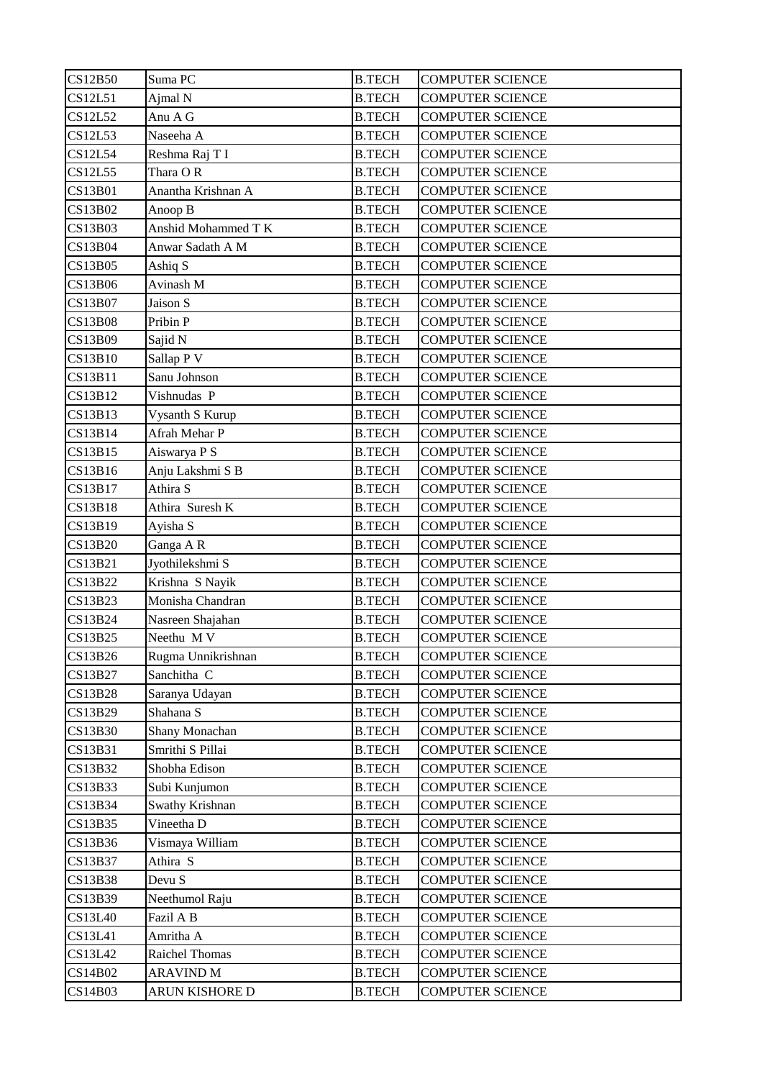| CS12B50        | Suma PC             | <b>B.TECH</b> | <b>COMPUTER SCIENCE</b> |
|----------------|---------------------|---------------|-------------------------|
| CS12L51        | Ajmal N             | <b>B.TECH</b> | <b>COMPUTER SCIENCE</b> |
| CS12L52        | Anu A G             | <b>B.TECH</b> | <b>COMPUTER SCIENCE</b> |
| CS12L53        | Naseeha A           | <b>B.TECH</b> | <b>COMPUTER SCIENCE</b> |
| CS12L54        | Reshma Raj T I      | <b>B.TECH</b> | <b>COMPUTER SCIENCE</b> |
| <b>CS12L55</b> | Thara OR            | <b>B.TECH</b> | <b>COMPUTER SCIENCE</b> |
| CS13B01        | Anantha Krishnan A  | <b>B.TECH</b> | <b>COMPUTER SCIENCE</b> |
| CS13B02        | Anoop B             | <b>B.TECH</b> | <b>COMPUTER SCIENCE</b> |
| CS13B03        | Anshid Mohammed T K | <b>B.TECH</b> | <b>COMPUTER SCIENCE</b> |
| CS13B04        | Anwar Sadath A M    | <b>B.TECH</b> | <b>COMPUTER SCIENCE</b> |
| CS13B05        | Ashiq S             | <b>B.TECH</b> | <b>COMPUTER SCIENCE</b> |
| CS13B06        | Avinash M           | <b>B.TECH</b> | <b>COMPUTER SCIENCE</b> |
| CS13B07        | Jaison S            | <b>B.TECH</b> | <b>COMPUTER SCIENCE</b> |
| <b>CS13B08</b> | Pribin P            | <b>B.TECH</b> | <b>COMPUTER SCIENCE</b> |
| CS13B09        | Sajid N             | <b>B.TECH</b> | <b>COMPUTER SCIENCE</b> |
| CS13B10        | Sallap P V          | <b>B.TECH</b> | <b>COMPUTER SCIENCE</b> |
| CS13B11        | Sanu Johnson        | <b>B.TECH</b> | <b>COMPUTER SCIENCE</b> |
| CS13B12        | Vishnudas P         | <b>B.TECH</b> | <b>COMPUTER SCIENCE</b> |
| CS13B13        | Vysanth S Kurup     | <b>B.TECH</b> | <b>COMPUTER SCIENCE</b> |
| CS13B14        | Afrah Mehar P       | <b>B.TECH</b> | <b>COMPUTER SCIENCE</b> |
| CS13B15        | Aiswarya P S        | <b>B.TECH</b> | <b>COMPUTER SCIENCE</b> |
| CS13B16        | Anju Lakshmi S B    | <b>B.TECH</b> | <b>COMPUTER SCIENCE</b> |
| CS13B17        | Athira S            | <b>B.TECH</b> | <b>COMPUTER SCIENCE</b> |
| CS13B18        | Athira Suresh K     | <b>B.TECH</b> | <b>COMPUTER SCIENCE</b> |
| CS13B19        | Ayisha S            | <b>B.TECH</b> | <b>COMPUTER SCIENCE</b> |
| CS13B20        | Ganga AR            | <b>B.TECH</b> | <b>COMPUTER SCIENCE</b> |
| CS13B21        | Jyothilekshmi S     | <b>B.TECH</b> | <b>COMPUTER SCIENCE</b> |
| CS13B22        | Krishna S Nayik     | <b>B.TECH</b> | <b>COMPUTER SCIENCE</b> |
| CS13B23        | Monisha Chandran    | <b>B.TECH</b> | <b>COMPUTER SCIENCE</b> |
| CS13B24        | Nasreen Shajahan    | <b>B.TECH</b> | <b>COMPUTER SCIENCE</b> |
| <b>CS13B25</b> | Neethu MV           | <b>B.TECH</b> | <b>COMPUTER SCIENCE</b> |
| CS13B26        | Rugma Unnikrishnan  | <b>B.TECH</b> | <b>COMPUTER SCIENCE</b> |
| CS13B27        | Sanchitha C         | <b>B.TECH</b> | <b>COMPUTER SCIENCE</b> |
| CS13B28        | Saranya Udayan      | <b>B.TECH</b> | <b>COMPUTER SCIENCE</b> |
| CS13B29        | Shahana S           | <b>B.TECH</b> | <b>COMPUTER SCIENCE</b> |
| CS13B30        | Shany Monachan      | <b>B.TECH</b> | <b>COMPUTER SCIENCE</b> |
| CS13B31        | Smrithi S Pillai    | <b>B.TECH</b> | <b>COMPUTER SCIENCE</b> |
| CS13B32        | Shobha Edison       | <b>B.TECH</b> | <b>COMPUTER SCIENCE</b> |
| CS13B33        | Subi Kunjumon       | <b>B.TECH</b> | <b>COMPUTER SCIENCE</b> |
| CS13B34        | Swathy Krishnan     | <b>B.TECH</b> | <b>COMPUTER SCIENCE</b> |
| CS13B35        | Vineetha D          | <b>B.TECH</b> | <b>COMPUTER SCIENCE</b> |
| CS13B36        | Vismaya William     | <b>B.TECH</b> | <b>COMPUTER SCIENCE</b> |
| CS13B37        | Athira S            | <b>B.TECH</b> | <b>COMPUTER SCIENCE</b> |
| CS13B38        | Devu S              | <b>B.TECH</b> | <b>COMPUTER SCIENCE</b> |
| CS13B39        | Neethumol Raju      | <b>B.TECH</b> | <b>COMPUTER SCIENCE</b> |
| <b>CS13L40</b> | Fazil A B           | <b>B.TECH</b> | <b>COMPUTER SCIENCE</b> |
| CS13L41        | Amritha A           | <b>B.TECH</b> | <b>COMPUTER SCIENCE</b> |
| CS13L42        | Raichel Thomas      | <b>B.TECH</b> | <b>COMPUTER SCIENCE</b> |
| CS14B02        | <b>ARAVIND M</b>    | <b>B.TECH</b> | <b>COMPUTER SCIENCE</b> |
| CS14B03        | ARUN KISHORE D      | <b>B.TECH</b> | <b>COMPUTER SCIENCE</b> |